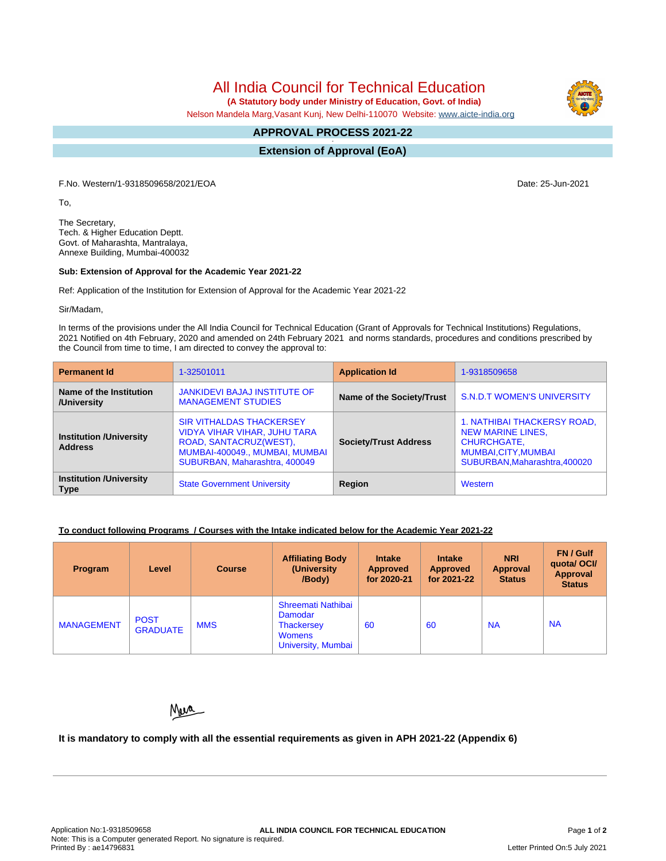All India Council for Technical Education

 **(A Statutory body under Ministry of Education, Govt. of India)**

Nelson Mandela Marg,Vasant Kunj, New Delhi-110070 Website: [www.aicte-india.org](http://www.aicte-india.org)

#### **APPROVAL PROCESS 2021-22 -**

**Extension of Approval (EoA)**

F.No. Western/1-9318509658/2021/EOA Date: 25-Jun-2021

To,

The Secretary, Tech. & Higher Education Deptt. Govt. of Maharashta, Mantralaya, Annexe Building, Mumbai-400032

### **Sub: Extension of Approval for the Academic Year 2021-22**

Ref: Application of the Institution for Extension of Approval for the Academic Year 2021-22

Sir/Madam,

In terms of the provisions under the All India Council for Technical Education (Grant of Approvals for Technical Institutions) Regulations, 2021 Notified on 4th February, 2020 and amended on 24th February 2021 and norms standards, procedures and conditions prescribed by the Council from time to time, I am directed to convey the approval to:

| <b>Permanent Id</b>                              | 1-32501011                                                                                                                                                   | <b>Application Id</b>        | 1-9318509658                                                                                                                           |  |
|--------------------------------------------------|--------------------------------------------------------------------------------------------------------------------------------------------------------------|------------------------------|----------------------------------------------------------------------------------------------------------------------------------------|--|
| Name of the Institution<br>/University           | <b>JANKIDEVI BAJAJ INSTITUTE OF</b><br><b>MANAGEMENT STUDIES</b>                                                                                             | Name of the Society/Trust    | <b>S.N.D.T WOMEN'S UNIVERSITY</b>                                                                                                      |  |
| <b>Institution /University</b><br><b>Address</b> | <b>SIR VITHALDAS THACKERSEY</b><br>VIDYA VIHAR VIHAR, JUHU TARA<br>ROAD, SANTACRUZ(WEST),<br>MUMBAI-400049., MUMBAI, MUMBAI<br>SUBURBAN, Maharashtra, 400049 | <b>Society/Trust Address</b> | 1. NATHIBAI THACKERSY ROAD,<br><b>NEW MARINE LINES,</b><br><b>CHURCHGATE,</b><br>MUMBAI, CITY, MUMBAI<br>SUBURBAN, Maharashtra, 400020 |  |
| <b>Institution /University</b><br><b>Type</b>    | <b>State Government University</b>                                                                                                                           | Region                       | Western                                                                                                                                |  |

# **To conduct following Programs / Courses with the Intake indicated below for the Academic Year 2021-22**

| Program           | Level                          | <b>Course</b> | <b>Affiliating Body</b><br>(University)<br>/Body)                                                | <b>Intake</b><br><b>Approved</b><br>for 2020-21 | <b>Intake</b><br><b>Approved</b><br>for 2021-22 | <b>NRI</b><br><b>Approval</b><br><b>Status</b> | FN / Gulf<br>quotal OCI/<br>Approval<br><b>Status</b> |
|-------------------|--------------------------------|---------------|--------------------------------------------------------------------------------------------------|-------------------------------------------------|-------------------------------------------------|------------------------------------------------|-------------------------------------------------------|
| <b>MANAGEMENT</b> | <b>POST</b><br><b>GRADUATE</b> | <b>MMS</b>    | Shreemati Nathibai<br>Damodar<br><b>Thackersey</b><br><b>Womens</b><br><b>University, Mumbai</b> | 60                                              | 60                                              | <b>NA</b>                                      | <b>NA</b>                                             |

# Neve

# **It is mandatory to comply with all the essential requirements as given in APH 2021-22 (Appendix 6)**